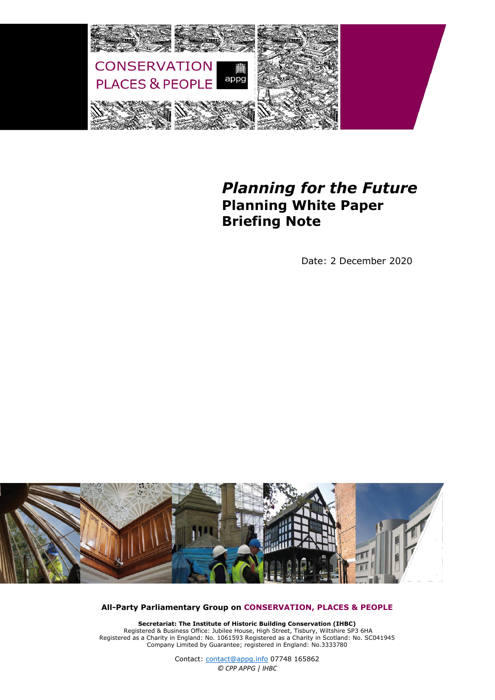

# *Planning for the Future*  **Planning White Paper Briefing Note**

Date: 2 December 2020



**All-Party Parliamentary Group on [CONSERVATION, PLACES & PEOPLE](https://conservationplacespeople.appg.info/)**

**Secretariat: The Institute of Historic Building Conservation (IHBC)** Registered & Business Office: Jubilee House, High Street, Tisbury, Wiltshire SP3 6HA Registered as a Charity in England: No. 1061593 Registered as a Charity in Scotland: No. SC041945 Company Limited by Guarantee; registered in England: No.3333780

> Contact: [contact@appg.info](mailto:contact@appg.info) 07748 165862 *© CPP APPG | IHBC*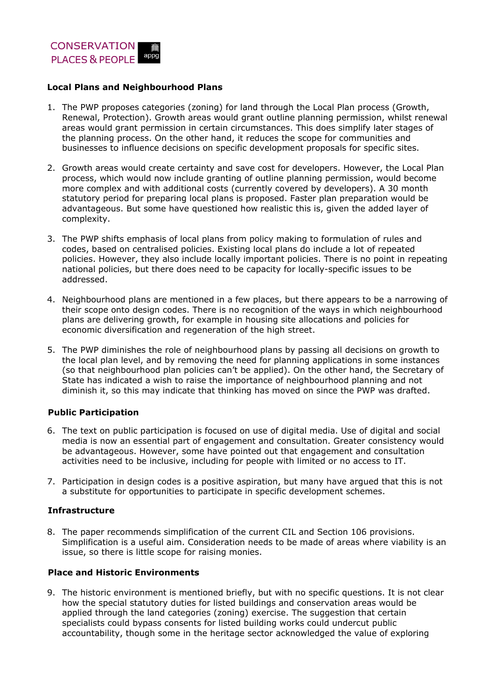

## **Local Plans and Neighbourhood Plans**

- 1. The PWP proposes categories (zoning) for land through the Local Plan process (Growth, Renewal, Protection). Growth areas would grant outline planning permission, whilst renewal areas would grant permission in certain circumstances. This does simplify later stages of the planning process. On the other hand, it reduces the scope for communities and businesses to influence decisions on specific development proposals for specific sites.
- 2. Growth areas would create certainty and save cost for developers. However, the Local Plan process, which would now include granting of outline planning permission, would become more complex and with additional costs (currently covered by developers). A 30 month statutory period for preparing local plans is proposed. Faster plan preparation would be advantageous. But some have questioned how realistic this is, given the added layer of complexity.
- 3. The PWP shifts emphasis of local plans from policy making to formulation of rules and codes, based on centralised policies. Existing local plans do include a lot of repeated policies. However, they also include locally important policies. There is no point in repeating national policies, but there does need to be capacity for locally-specific issues to be addressed.
- 4. Neighbourhood plans are mentioned in a few places, but there appears to be a narrowing of their scope onto design codes. There is no recognition of the ways in which neighbourhood plans are delivering growth, for example in housing site allocations and policies for economic diversification and regeneration of the high street.
- 5. The PWP diminishes the role of neighbourhood plans by passing all decisions on growth to the local plan level, and by removing the need for planning applications in some instances (so that neighbourhood plan policies can't be applied). On the other hand, the Secretary of State has indicated a wish to raise the importance of neighbourhood planning and not diminish it, so this may indicate that thinking has moved on since the PWP was drafted.

#### **Public Participation**

- 6. The text on public participation is focused on use of digital media. Use of digital and social media is now an essential part of engagement and consultation. Greater consistency would be advantageous. However, some have pointed out that engagement and consultation activities need to be inclusive, including for people with limited or no access to IT.
- 7. Participation in design codes is a positive aspiration, but many have argued that this is not a substitute for opportunities to participate in specific development schemes.

#### **Infrastructure**

8. The paper recommends simplification of the current CIL and Section 106 provisions. Simplification is a useful aim. Consideration needs to be made of areas where viability is an issue, so there is little scope for raising monies.

## **Place and Historic Environments**

9. The historic environment is mentioned briefly, but with no specific questions. It is not clear how the special statutory duties for listed buildings and conservation areas would be applied through the land categories (zoning) exercise. The suggestion that certain specialists could bypass consents for listed building works could undercut public accountability, though some in the heritage sector acknowledged the value of exploring